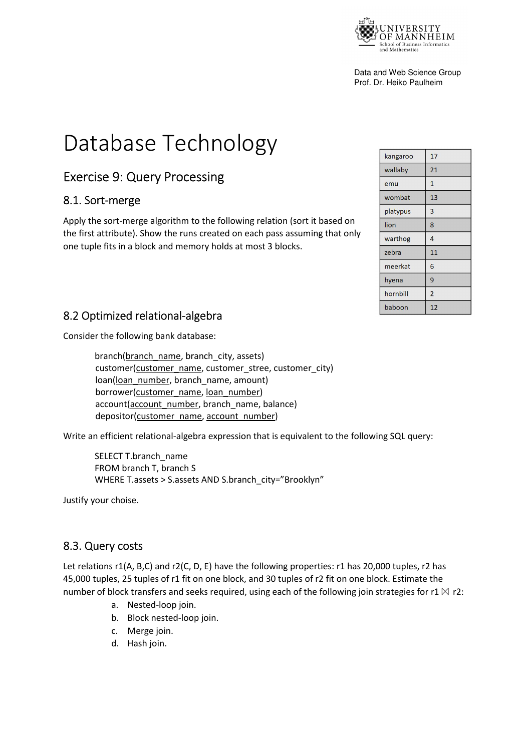

Data and Web Science Group Prof. Dr. Heiko Paulheim

# Database Technology

## Exercise 9: Query Processing

#### 8.1. Sort-merge

Apply the sort-merge algorithm to the following relation (sort it based on the first attribute). Show the runs created on each pass assuming that only one tuple fits in a block and memory holds at most 3 blocks.

| kangaroo | 17             |
|----------|----------------|
| wallaby  | 21             |
| emu      | $\mathbf{1}$   |
| wombat   | 13             |
| platypus | 3              |
| lion     | 8              |
| warthog  | 4              |
| zebra    | 11             |
| meerkat  | 6              |
| hyena    | 9              |
| hornbill | $\overline{2}$ |
| baboon   | 12             |

#### 8.2 Optimized relational-algebra

Consider the following bank database:

branch(branch\_name, branch\_city, assets) customer(customer\_name, customer\_stree, customer\_city) loan(loan\_number, branch\_name, amount) borrower(customer\_name, loan\_number) account(account\_number, branch\_name, balance) depositor(customer\_name, account\_number)

Write an efficient relational-algebra expression that is equivalent to the following SQL query:

SELECT T.branch\_name FROM branch T, branch S WHERE T.assets > S.assets AND S.branch\_city="Brooklyn"

Justify your choise.

#### 8.3. Query costs

Let relations r1(A, B,C) and r2(C, D, E) have the following properties: r1 has 20,000 tuples, r2 has 45,000 tuples, 25 tuples of r1 fit on one block, and 30 tuples of r2 fit on one block. Estimate the number of block transfers and seeks required, using each of the following join strategies for r1  $\bowtie$  r2:

- a. Nested-loop join.
- b. Block nested-loop join.
- c. Merge join.
- d. Hash join.